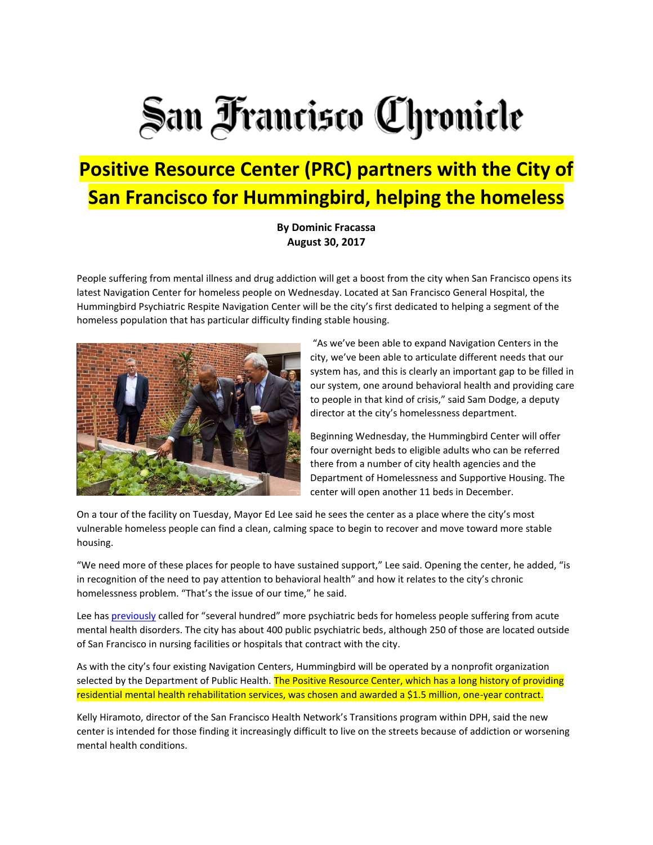## San Francisco Chronicle

## **Positive Resource Center (PRC) partners with the City of San Francisco for Hummingbird, helping the homeless**

**By Dominic Fracassa August 30, 2017**

People suffering from mental illness and drug addiction will get a boost from the city when San Francisco opens its latest Navigation Center for homeless people on Wednesday. Located at San Francisco General Hospital, the Hummingbird Psychiatric Respite Navigation Center will be the city's first dedicated to helping a segment of the homeless population that has particular difficulty finding stable housing.



"As we've been able to expand Navigation Centers in the city, we've been able to articulate different needs that our system has, and this is clearly an important gap to be filled in our system, one around behavioral health and providing care to people in that kind of crisis," said Sam Dodge, a deputy director at the city's homelessness department.

Beginning Wednesday, the Hummingbird Center will offer four overnight beds to eligible adults who can be referred there from a number of city health agencies and the Department of Homelessness and Supportive Housing. The center will open another 11 beds in December.

On a tour of the facility on Tuesday, Mayor Ed Lee said he sees the center as a place where the city's most vulnerable homeless people can find a clean, calming space to begin to recover and move toward more stable housing.

"We need more of these places for people to have sustained support," Lee said. Opening the center, he added, "is in recognition of the need to pay attention to behavioral health" and how it relates to the city's chronic homelessness problem. "That's the issue of our time," he said.

Lee has [previously](http://projects.sfchronicle.com/sf-homeless/mental-health/) called for "several hundred" more psychiatric beds for homeless people suffering from acute mental health disorders. The city has about 400 public psychiatric beds, although 250 of those are located outside of San Francisco in nursing facilities or hospitals that contract with the city.

As with the city's four existing Navigation Centers, Hummingbird will be operated by a nonprofit organization selected by the Department of Public Health. The Positive Resource Center, which has a long history of providing residential mental health rehabilitation services, was chosen and awarded a \$1.5 million, one-year contract.

Kelly Hiramoto, director of the San Francisco Health Network's Transitions program within DPH, said the new center is intended for those finding it increasingly difficult to live on the streets because of addiction or worsening mental health conditions.